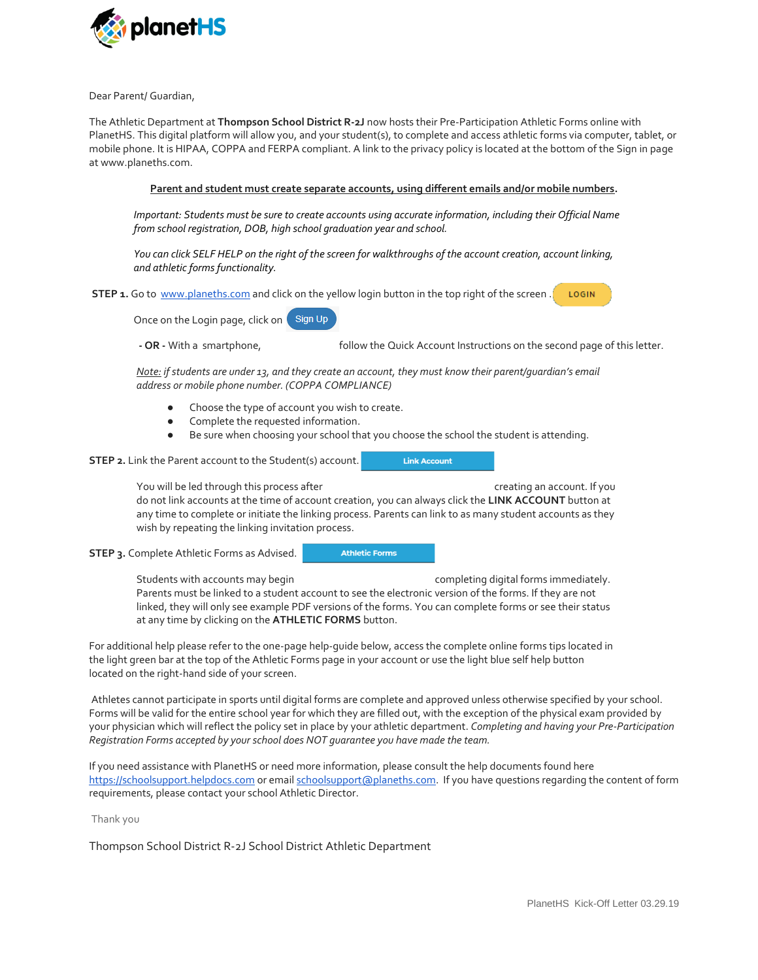

Dear Parent/ Guardian,

The Athletic Department at **Thompson School District R-2J** now hosts their Pre-Participation Athletic Forms online with PlanetHS. This digital platform will allow you, and your student(s), to complete and access athletic forms via computer, tablet, or mobile phone. It is HIPAA, COPPA and FERPA compliant. A link to the privacy policy is located at the bottom of the Sign in page at www.planeths.com.

## **Parent and student must create separate accounts, using different emails and/or mobile numbers.**

*Important: Students must be sure to create accounts using accurate information, including their Official Name from school registration, DOB, high school graduation year and school.* 

*You can click SELF HELP on the right of the screen for walkthroughs of the account creation, account linking, and athletic forms functionality.*

**STEP 1.** Go to [www.planeths.com](https://www.planeths.com/) and click on the yellow login button in the top right of the screen . LOGIN

Sign Up Once on the Login page, click on

**- OR -** With a smartphone, follow the Quick Account Instructions on the second page of this letter.

*Note: if students are under 13, and they create an account, they must know their parent/guardian's email address or mobile phone number. (COPPA COMPLIANCE)*

- Choose the type of account you wish to create.
- Complete the requested information.
- Be sure when choosing your school that you choose the school the student is attending.

**STEP 2.** Link the Parent account to the Student(s) account.

**Link Account** 

You will be led through this process after example and creating an account. If you

do not link accounts at the time of account creation, you can always click the **LINK ACCOUNT** button at any time to complete or initiate the linking process. Parents can link to as many student accounts as they wish by repeating the linking invitation process.

**STEP 3.** Complete Athletic Forms as Advised.

**Athletic Forms** 

Students with accounts may begin example that completing digital forms immediately. Parents must be linked to a student account to see the electronic version of the forms. If they are not linked, they will only see example PDF versions of the forms. You can complete forms or see their status at any time by clicking on the **ATHLETIC FORMS** button.

For additional help please refer to the one-page help-guide below, access the complete online forms tips located in the light green bar at the top of the Athletic Forms page in your account or use the light blue self help button located on the right-hand side of your screen.

Athletes cannot participate in sports until digital forms are complete and approved unless otherwise specified by your school. Forms will be valid for the entire school year for which they are filled out, with the exception of the physical exam provided by your physician which will reflect the policy set in place by your athletic department. *Completing and having your Pre-Participation Registration Forms accepted by your school does NOT guarantee you have made the team.*

If you need assistance with PlanetHS or need more information, please consult the help documents found here [https://schoolsupport.helpdocs.com](https://schoolsupport.helpdocs.com/) or emai[l schoolsupport@planeths.com.](mailto:schoolsupport@planeths.com) If you have questions regarding the content of form requirements, please contact your school Athletic Director.

Thank you

Thompson School District R-2J School District Athletic Department